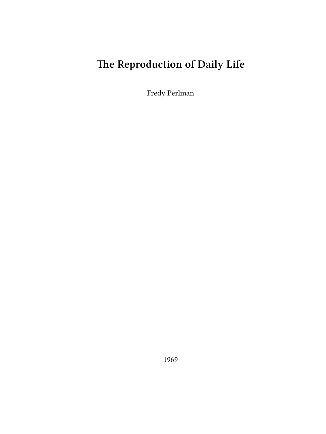# **The Reproduction of Daily Life**

Fredy Perlman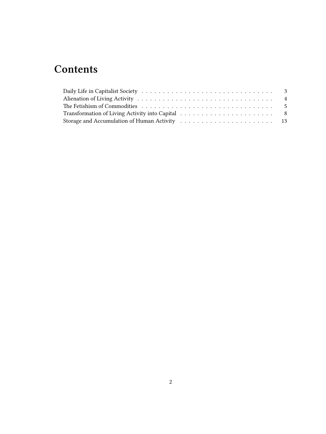# **Contents**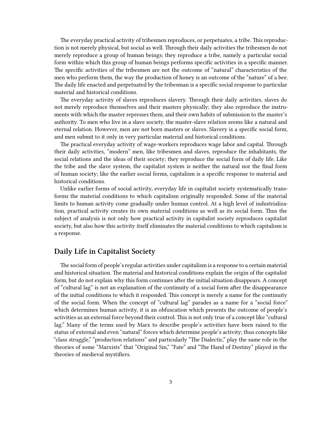The everyday practical activity of tribesmen reproduces, or perpetuates, a tribe. This reproduction is not merely physical, but social as well. Through their daily activities the tribesmen do not merely reproduce a group of human beings; they reproduce a tribe, namely a particular social form within which this group of human beings performs specific activities in a specific manner. The specific activities of the tribesmen are not the outcome of "natural" characteristics of the men who perform them, the way the production of honey is an outcome of the "nature" of a bee. The daily life enacted and perpetuated by the tribesman is a specific social response to particular material and historical conditions.

The everyday activity of slaves reproduces slavery. Through their daily activities, slaves do not merely reproduce themselves and their masters physically; they also reproduce the instruments with which the master represses them, and their own habits of submission to the master's authority. To men who live in a slave society, the master-slave relation seems like a natural and eternal relation. However, men are not born masters or slaves. Slavery is a specific social form, and men submit to it only in very particular material and historical conditions.

The practical everyday activity of wage-workers reproduces wage labor and capital. Through their daily activities, "modern" men, like tribesmen and slaves, reproduce the inhabitants, the social relations and the ideas of their society; they reproduce the social form of daily life. Like the tribe and the slave system, the capitalist system is neither the natural nor the final form of human society; like the earlier social forms, capitalism is a specific response to material and historical conditions.

Unlike earlier forms of social activity, everyday life in capitalist society systematically transforms the material conditions to which capitalism originally responded. Some of the material limits to human activity come gradually under human control. At a high level of industrialization, practical activity creates its own material conditions as well as its social form. Thus the subject of analysis is not only how practical activity in capitalist society reproduces capitalist society, but also how this activity itself eliminates the material conditions to which capitalism is a response.

### <span id="page-2-0"></span>**Daily Life in Capitalist Society**

The social form of people's regular activities under capitalism is a response to a certain material and historical situation. The material and historical conditions explain the origin of the capitalist form, but do not explain why this form continues after the initial situation disappears. A concept of "cultural lag" is not an explanation of the continuity of a social form after the disappearance of the initial conditions to which it responded. This concept is merely a name for the continuity of the social form. When the concept of "cultural lag" parades as a name for a "social force" which determines human activity, it is an obfuscation which presents the outcome of people's activities as an external force beyond their control. This is not only true of a concept like "cultural lag." Many of the terms used by Marx to describe people's activities have been raised to the status of external and even "natural" forces which determine people's activity; thus concepts like "class struggle," "production relations" and particularly "The Dialectic," play the same role in the theories of some "Marxists" that "Original Sin," "Fate" and "The Hand of Destiny" played in the theories of medieval mystifiers.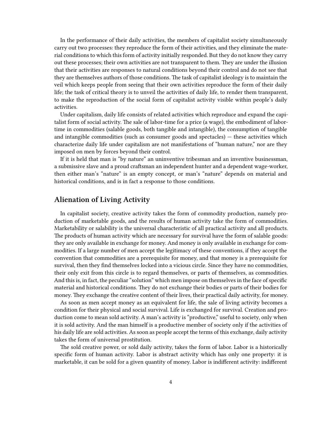In the performance of their daily activities, the members of capitalist society simultaneously carry out two processes: they reproduce the form of their activities, and they eliminate the material conditions to which this form of activity initially responded. But they do not know they carry out these processes; their own activities are not transparent to them. They are under the illusion that their activities are responses to natural conditions beyond their control and do not see that they are themselves authors of those conditions. The task of capitalist ideology is to maintain the veil which keeps people from seeing that their own activities reproduce the form of their daily life; the task of critical theory is to unveil the activities of daily life, to render them transparent, to make the reproduction of the social form of capitalist activity visible within people's daily activities.

Under capitalism, daily life consists of related activities which reproduce and expand the capitalist form of social activity. The sale of labor-time for a price (a wage), the embodiment of labortime in commodities (salable goods, both tangible and intangible), the consumption of tangible and intangible commodities (such as consumer goods and spectacles) — these activities which characterize daily life under capitalism are not manifestations of "human nature," nor are they imposed on men by forces beyond their control.

If it is held that man is "by nature" an uninventive tribesman and an inventive businessman, a submissive slave and a proud craftsman an independent hunter and a dependent wage-worker, then either man's "nature" is an empty concept, or man's "nature" depends on material and historical conditions, and is in fact a response to those conditions.

#### <span id="page-3-0"></span>**Alienation of Living Activity**

In capitalist society, creative activity takes the form of commodity production, namely production of marketable goods, and the results of human activity take the form of commodities. Marketability or salability is the universal characteristic of all practical activity and all products. The products of human activity which are necessary for survival have the form of salable goods: they are only available in exchange for money. And money is only available in exchange for commodities. If a large number of men accept the legitimacy of these conventions, if they accept the convention that commodities are a prerequisite for money, and that money is a prerequisite for survival, then they find themselves locked into a vicious circle. Since they have no commodities, their only exit from this circle is to regard themselves, or parts of themselves, as commodities. And this is, in fact, the peculiar "solution" which men impose on themselves in the face of specific material and historical conditions. They do not exchange their bodies or parts of their bodies for money. They exchange the creative content of their lives, their practical daily activity, for money.

As soon as men accept money as an equivalent for life, the sale of living activity becomes a condition for their physical and social survival. Life is exchanged for survival. Creation and production come to mean sold activity. A man's activity is "productive," useful to society, only when it is sold activity. And the man himself is a productive member of society only if the activities of his daily life are sold activities. As soon as people accept the terms of this exchange, daily activity takes the form of universal prostitution.

The sold creative power, or sold daily activity, takes the form of labor. Labor is a historically specific form of human activity. Labor is abstract activity which has only one property: it is marketable, it can be sold for a given quantity of money. Labor is indifferent activity: indifferent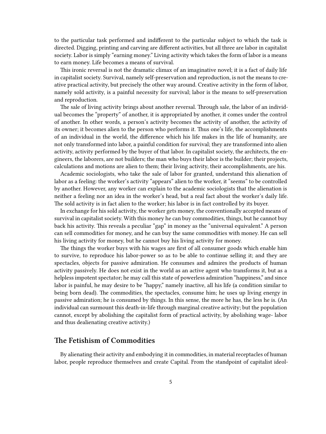to the particular task performed and indifferent to the particular subject to which the task is directed. Digging, printing and carving are different activities, but all three are labor in capitalist society. Labor is simply "earning money." Living activity which takes the form of labor is a means to earn money. Life becomes a means of survival.

This ironic reversal is not the dramatic climax of an imaginative novel; it is a fact of daily life in capitalist society. Survival, namely self-preservation and reproduction, is not the means to creative practical activity, but precisely the other way around. Creative activity in the form of labor, namely sold activity, is a painful necessity for survival; labor is the means to self-preservation and reproduction.

The sale of living activity brings about another reversal. Through sale, the labor of an individual becomes the "property" of another, it is appropriated by another, it comes under the control of another. In other words, a person's activity becomes the activity of another, the activity of its owner; it becomes alien to the person who performs it. Thus one's life, the accomplishments of an individual in the world, the difference which his life makes in the life of humanity, are not only transformed into labor, a painful condition for survival; they are transformed into alien activity, activity performed by the buyer of that labor. In capitalist society, the architects, the engineers, the laborers, are not builders; the man who buys their labor is the builder; their projects, calculations and motions are alien to them; their living activity, their accomplishments, are his.

Academic sociologists, who take the sale of labor for granted, understand this alienation of labor as a feeling: the worker's activity "appears" alien to the worker, it "seems" to be controlled by another. However, any worker can explain to the academic sociologists that the alienation is neither a feeling nor an idea in the worker's head, but a real fact about the worker's daily life. The sold activity is in fact alien to the worker; his labor is in fact controlled by its buyer.

In exchange for his sold activity, the worker gets money, the conventionally accepted means of survival in capitalist society. With this money he can buy commodities, things, but he cannot buy back his activity. This reveals a peculiar "gap" in money as the "universal equivalent." A person can sell commodities for money, and he can buy the same commodities with money. He can sell his living activity for money, but he cannot buy his living activity for money.

The things the worker buys with his wages are first of all consumer goods which enable him to survive, to reproduce his labor-power so as to be able to continue selling it; and they are spectacles, objects for passive admiration. He consumes and admires the products of human activity passively. He does not exist in the world as an active agent who transforms it, but as a helpless impotent spectator; he may call this state of powerless admiration "happiness," and since labor is painful, he may desire to be "happy," namely inactive, all his life (a condition similar to being born dead). The commodities, the spectacles, consume him; he uses up living energy in passive admiration; he is consumed by things. In this sense, the more he has, the less he is. (An individual can surmount this death-in-life through marginal creative activity; but the population cannot, except by abolishing the capitalist form of practical activity, by abolishing wage- labor and thus dealienating creative activity.)

# <span id="page-4-0"></span>**The Fetishism of Commodities**

By alienating their activity and embodying it in commodities, in material receptacles of human labor, people reproduce themselves and create Capital. From the standpoint of capitalist ideol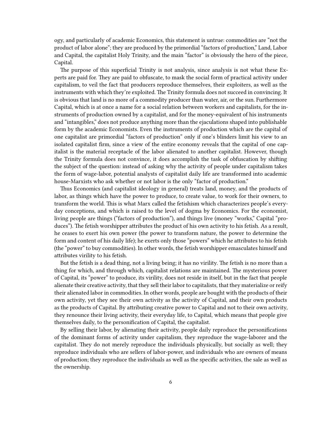ogy, and particularly of academic Economics, this statement is untrue: commodities are "not the product of labor alone"; they are produced by the primordial "factors of production," Land, Labor and Capital, the capitalist Holy Trinity, and the main "factor" is obviously the hero of the piece, Capital.

The purpose of this superficial Trinity is not analysis, since analysis is not what these Experts are paid for. They are paid to obfuscate, to mask the social form of practical activity under capitalism, to veil the fact that producers reproduce themselves, their exploiters, as well as the instruments with which they're exploited. The Trinity formula does not succeed in convincing. It is obvious that land is no more of a commodity producer than water, air, or the sun. Furthermore Capital, which is at once a name for a social relation between workers and capitalists, for the instruments of production owned by a capitalist, and for the money-equivalent of his instruments and "intangibles," does not produce anything more than the ejaculations shaped into publishable form by the academic Economists. Even the instruments of production which are the capital of one capitalist are primordial "factors of production" only if one's blinders limit his view to an isolated capitalist firm, since a view of the entire economy reveals that the capital of one capitalist is the material receptacle of the labor alienated to another capitalist. However, though the Trinity formula does not convince, it does accomplish the task of obfuscation by shifting the subject of the question: instead of asking why the activity of people under capitalism takes the form of wage-labor, potential analysts of capitalist daily life are transformed into academic house-Marxists who ask whether or not labor is the only "factor of production."

Thus Economics (and capitalist ideology in general) treats land, money, and the products of labor, as things which have the power to produce, to create value, to work for their owners, to transform the world. This is what Marx called the fetishism which characterizes people's everyday conceptions, and which is raised to the level of dogma by Economics. For the economist, living people are things ("factors of production"), and things live (money "works," Capital "produces"). The fetish worshipper attributes the product of his own activity to his fetish. As a result, he ceases to exert his own power (the power to transform nature, the power to determine the form and content of his daily life); he exerts only those "powers" which he attributes to his fetish (the "power" to buy commodities). In other words, the fetish worshipper emasculates himself and attributes virility to his fetish.

But the fetish is a dead thing, not a living being; it has no virility. The fetish is no more than a thing for which, and through which, capitalist relations are maintained. The mysterious power of Capital, its "power" to produce, its virility, does not reside in itself, but in the fact that people alienate their creative activity, that they sell their labor to capitalists, that they materialize or reify their alienated labor in commodities. In other words, people are bought with the products of their own activity, yet they see their own activity as the activity of Capital, and their own products as the products of Capital. By attributing creative power to Capital and not to their own activity, they renounce their living activity, their everyday life, to Capital, which means that people give themselves daily, to the personification of Capital, the capitalist.

By selling their labor, by alienating their activity, people daily reproduce the personifications of the dominant forms of activity under capitalism, they reproduce the wage-laborer and the capitalist. They do not merely reproduce the individuals physically, but socially as well; they reproduce individuals who are sellers of labor-power, and individuals who are owners of means of production; they reproduce the individuals as well as the specific activities, the sale as well as the ownership.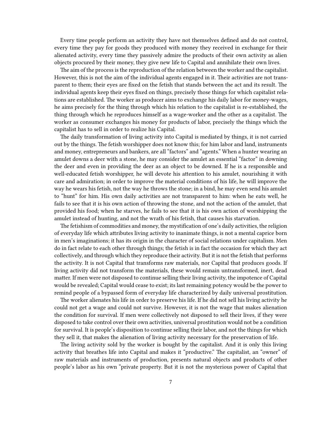Every time people perform an activity they have not themselves defined and do not control, every time they pay for goods they produced with money they received in exchange for their alienated activity, every time they passively admire the products of their own activity as alien objects procured by their money, they give new life to Capital and annihilate their own lives.

The aim of the process is the reproduction of the relation between the worker and the capitalist. However, this is not the aim of the individual agents engaged in it. Their activities are not transparent to them; their eyes are fixed on the fetish that stands between the act and its result. The individual agents keep their eyes fixed on things, precisely those things for which capitalist relations are established. The worker as producer aims to exchange his daily labor for money-wages, he aims precisely for the thing through which his relation to the capitalist is re-established, the thing through which he reproduces himself as a wage-worker and the other as a capitalist. The worker as consumer exchanges his money for products of labor, precisely the things which the capitalist has to sell in order to realize his Capital.

The daily transformation of living activity into Capital is mediated by things, it is not carried out by the things. The fetish worshipper does not know this; for him labor and land, instruments and money, entrepreneurs and bankers, are all "factors" and "agents." When a hunter wearing an amulet downs a deer with a stone, he may consider the amulet an essential "factor" in downing the deer and even in providing the deer as an object to be downed. If he is a responsible and well-educated fetish worshipper, he will devote his attention to his amulet, nourishing it with care and admiration; in order to improve the material conditions of his life, he will improve the way he wears his fetish, not the way he throws the stone; in a bind, he may even send his amulet to "hunt" for him. His own daily activities are not transparent to him: when he eats well, he fails to see that it is his own action of throwing the stone, and not the action of the amulet, that provided his food; when he starves, he fails to see that it is his own action of worshipping the amulet instead of hunting, and not the wrath of his fetish, that causes his starvation.

The fetishism of commodities and money, the mystification of one's daily activities, the religion of everyday life which attributes living activity to inanimate things, is not a mental caprice born in men's imaginations; it has its origin in the character of social relations under capitalism. Men do in fact relate to each other through things; the fetish is in fact the occasion for which they act collectively, and through which they reproduce their activity. But it is not the fetish that performs the activity. It is not Capital that transforms raw materials, nor Capital that produces goods. If living activity did not transform the materials, these would remain untransformed, inert, dead matter. If men were not disposed to continue selling their living activity, the impotence of Capital would be revealed; Capital would cease to exist; its last remaining potency would be the power to remind people of a bypassed form of everyday life characterized by daily universal prostitution.

The worker alienates his life in order to preserve his life. If he did not sell his living activity he could not get a wage and could not survive. However, it is not the wage that makes alienation the condition for survival. If men were collectively not disposed to sell their lives, if they were disposed to take control over their own activities, universal prostitution would not be a condition for survival. It is people's disposition to continue selling their labor, and not the things for which they sell it, that makes the alienation of living activity necessary for the preservation of life.

The living activity sold by the worker is bought by the capitalist. And it is only this living activity that breathes life into Capital and makes it "productive." The capitalist, an "owner" of raw materials and instruments of production, presents natural objects and products of other people's labor as his own "private property. But it is not the mysterious power of Capital that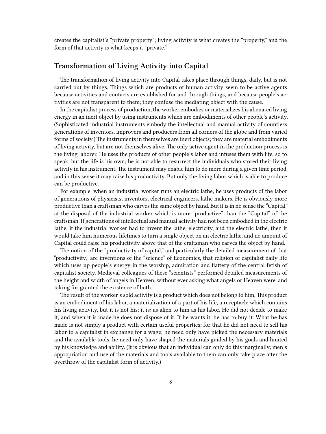creates the capitalist's "private property"; living activity is what creates the "property," and the form of that activity is what keeps it "private."

## <span id="page-7-0"></span>**Transformation of Living Activity into Capital**

The transformation of living activity into Capital takes place through things, daily, but is not carried out by things. Things which are products of human activity seem to be active agents because activities and contacts are established for and through things, and because people's activities are not transparent to them; they confuse the mediating object with the cause.

In the capitalist process of production, the worker embodies or materializes his alienated living energy in an inert object by using instruments which are embodiments of other people's activity. (Sophisticated industrial instruments embody the intellectual and manual activity of countless generations of inventors, improvers and producers from all corners of the globe and from varied forms of society.) The instruments in themselves are inert objects; they are material embodiments of living activity, but are not themselves alive. The only active agent in the production process is the living laborer. He uses the products of other people's labor and infuses them with life, so to speak, but the life is his own; he is not able to resurrect the individuals who stored their living activity in his instrument. The instrument may enable him to do more during a given time period, and in this sense it may raise his productivity. But only the living labor which is able to produce can be productive.

For example, when an industrial worker runs an electric lathe, he uses products of the labor of generations of physicists, inventors, electrical engineers, lathe makers. He is obviously more productive than a craftsman who carves the same object by hand. But it is in no sense the "Capital" at the disposal of the industrial worker which is more "productive" than the "Capital" of the craftsman. If generations of intellectual and manual activity had not been embodied in the electric lathe, if the industrial worker had to invent the lathe, electricity, and the electric lathe, then it would take him numerous lifetimes to turn a single object on an electric lathe, and no amount of Capital could raise his productivity above that of the craftsman who carves the object by hand.

The notion of the "productivity of capital," and particularly the detailed measurement of that "productivity," are inventions of the "science" of Economics, that religion of capitalist daily life which uses up people's energy in the worship, admiration and flattery of the central fetish of capitalist society. Medieval colleagues of these "scientists" performed detailed measurements of the height and width of angels in Heaven, without ever asking what angels or Heaven were, and taking for granted the existence of both.

The result of the worker's sold activity is a product which does not belong to him. This product is an embodiment of his labor, a materialization of a part of his life, a receptacle which contains his living activity, but it is not his; it is: as alien to him as his labor. He did not decide to make it, and when it is made he does not dispose of it. If he wants it, he has to buy it. What he has made is not simply a product with certain useful properties; for that he did not need to sell his labor to a capitalist in exchange for a wage; he need only have picked the necessary materials and the available tools, he need only have shaped the materials guided by his goals and limited by his knowledge and ability. (It is obvious that an individual can only do this marginally; men's appropriation and use of the materials and tools available to them can only take place after the overthrow of the capitalist form of activity.)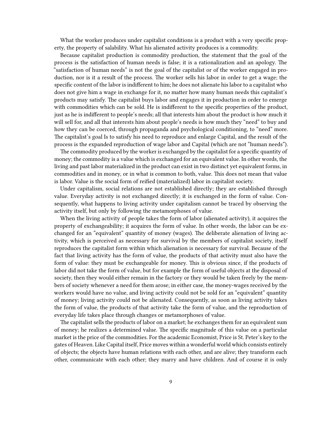What the worker produces under capitalist conditions is a product with a very specific property, the property of salability. What his alienated activity produces is a commodity.

Because capitalist production is commodity production, the statement that the goal of the process is the satisfaction of human needs is false; it is a rationalization and an apology. The "satisfaction of human needs" is not the goal of the capitalist or of the worker engaged in production, nor is it a result of the process. The worker sells his labor in order to get a wage; the specific content of the labor is indifferent to him; he does not alienate his labor to a capitalist who does not give him a wage in exchange for it, no matter how many human needs this capitalist's products may satisfy. The capitalist buys labor and engages it in production in order to emerge with commodities which can be sold. He is indifferent to the specific properties of the product, just as he is indifferent to people's needs; all that interests him about the product is how much it will sell for, and all that interests him about people's needs is how much they "need" to buy and how they can be coerced, through propaganda and psychological conditioning, to "need" more. The capitalist's goal Is to satisfy his need to reproduce and enlarge Capital, and the result of the process is the expanded reproduction of wage labor and Capital (which are not "human needs").

The commodity produced by the worker is exchanged by the capitalist for a specific quantity of money; the commodity is a value which is exchanged for an equivalent value. In other words, the living and past labor materialized in the product can exist in two distinct yet equivalent forms, in commodities and in money, or in what is common to both, value. This does not mean that value is labor. Value is the social form of reified (materialized) labor in capitalist society.

Under capitalism, social relations are not established directly; they are established through value. Everyday activity is not exchanged directly; it is exchanged in the form of value. Consequently, what happens to living activity under capitalism cannot be traced by observing the activity itself, but only by following the metamorphoses of value.

When the living activity of people takes the form of labor (alienated activity), it acquires the property of exchangeability; it acquires the form of value. In other words, the labor can be exchanged for an "equivalent" quantity of money (wages). The deliberate alienation of living activity, which is perceived as necessary for survival by the members of capitalist society, itself reproduces the capitalist form within which alienation is necessary for survival. Because of the fact that living activity has the form of value, the products of that activity must also have the form of value: they must be exchangeable for money. This is obvious since, if the products of labor did not take the form of value, but for example the form of useful objects at the disposal of society, then they would either remain in the factory or they would be taken freely by the members of society whenever a need for them arose; in either case, the money-wages received by the workers would have no value, and living activity could not be sold for an "equivalent" quantity of money; living activity could not be alienated. Consequently, as soon as living activity takes the form of value, the products of that activity take the form of value, and the reproduction of everyday life takes place through changes or metamorphoses of value.

The capitalist sells the products of labor on a market; he exchanges them for an equivalent sum of money; he realizes a determined value. The specific magnitude of this value on a particular market is the price of the commodities. For the academic Economist, Price is St. Peter's key to the gates of Heaven. Like Capital itself, Price moves within a wonderful world which consists entirely of objects; the objects have human relations with each other, and are alive; they transform each other, communicate with each other; they marry and have children. And of course it is only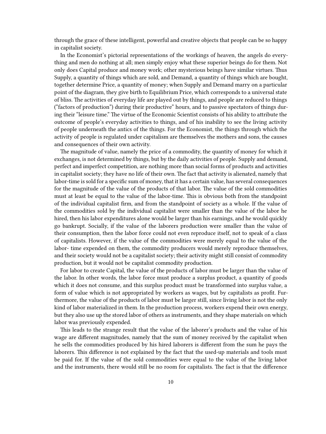through the grace of these intelligent, powerful and creative objects that people can be so happy in capitalist society.

In the Economist's pictorial representations of the workings of heaven, the angels do everything and men do nothing at all; men simply enjoy what these superior beings do for them. Not only does Capital produce and money work; other mysterious beings have similar virtues. Thus Supply, a quantity of things which are sold, and Demand, a quantity of things which are bought, together determine Price, a quantity of money; when Supply and Demand marry on a particular point of the diagram, they give birth to Equilibrium Price, which corresponds to a universal state of bliss. The activities of everyday life are played out by things, and people are reduced to things ("factors of production") during their productive" hours, and to passive spectators of things during their "leisure time." The virtue of the Economic Scientist consists of his ability to attribute the outcome of people's everyday activities to things, and of his inability to see the living activity of people underneath the antics of the things. For the Economist, the things through which the activity of people is regulated under capitalism are themselves the mothers and sons, the causes and consequences of their own activity.

The magnitude of value, namely the price of a commodity, the quantity of money for which it exchanges, is not determined by things, but by the daily activities of people. Supply and demand, perfect and imperfect competition, are nothing more than social forms of products and activities in capitalist society; they have no life of their own. The fact that activity is alienated, namely that labor-time is sold for a specific sum of money, that it has a certain value, has several consequences for the magnitude of the value of the products of that labor. The value of the sold commodities must at least be equal to the value of the labor-time. This is obvious both from the standpoint of the individual capitalist firm, and from the standpoint of society as a whole. If the value of the commodities sold by the individual capitalist were smaller than the value of the labor he hired, then his labor expenditures alone would be larger than his earnings, and he would quickly go bankrupt. Socially, if the value of the laborers production were smaller than the value of their consumption, then the labor force could not even reproduce itself, not to speak of a class of capitalists. However, if the value of the commodities were merely equal to the value of the labor- time expended on them, the commodity producers would merely reproduce themselves, and their society would not be a capitalist society; their activity might still consist of commodity production, but it would not be capitalist commodity production.

For labor to create Capital, the value of the products of labor must be larger than the value of the labor. In other words, the labor force must produce a surplus product, a quantity of goods which it does not consume, and this surplus product must be transformed into surplus value, a form of value which is not appropriated by workers as wages, but by capitalists as profit. Furthermore, the value of the products of labor must be larger still, since living labor is not the only kind of labor materialized in them. In the production process, workers expend their own energy, but they also use up the stored labor of others as instruments, and they shape materials on which labor was previously expended.

This leads to the strange result that the value of the laborer's products and the value of his wage are different magnitudes, namely that the sum of money received by the capitalist when he sells the commodities produced by his hired laborers is different from the sum he pays the laborers. This difference is not explained by the fact that the used-up materials and tools must be paid for. If the value of the sold commodities were equal to the value of the living labor and the instruments, there would still be no room for capitalists. The fact is that the difference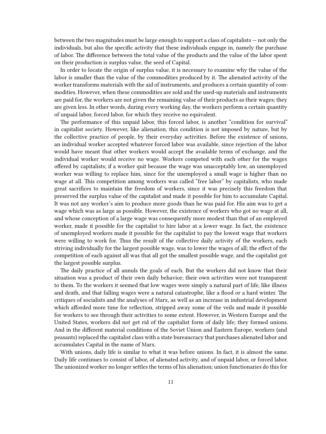between the two magnitudes must be large enough to support a class of capitalists — not only the individuals, but also the specific activity that these individuals engage in, namely the purchase of labor. The difference between the total value of the products and the value of the labor spent on their production is surplus value, the seed of Capital.

In order to locate the origin of surplus value, it is necessary to examine why the value of the labor is smaller than the value of the commodities produced by it. The alienated activity of the worker transforms materials with the aid of instruments, and produces a certain quantity of commodities. However, when these commodities are sold and the used-up materials and instruments are paid for, the workers are not given the remaining value of their products as their wages; they are given less. In other words, during every working day, the workers perform a certain quantity of unpaid labor, forced labor, for which they receive no equivalent.

The performance of this unpaid labor, this forced labor, is another "condition for survival" in capitalist society. However, like alienation, this condition is not imposed by nature, but by the collective practice of people, by their everyday activities. Before the existence of unions, an individual worker accepted whatever forced labor was available, since rejection of the labor would have meant that other workers would accept the available terms of exchange, and the individual worker would receive no wage. Workers competed with each other for the wages offered by capitalists; if a worker quit because the wage was unacceptably low, an unemployed worker was willing to replace him, since for the unemployed a small wage is higher than no wage at all. This competition among workers was called "free labor" by capitalists, who made great sacrifices to maintain the freedom of workers, since it was precisely this freedom that preserved the surplus value of the capitalist and made it possible for him to accumulate Capital. It was not any worker's aim to produce more goods than he was paid for. His aim was to get a wage which was as large as possible. However, the existence of workers who got no wage at all, and whose conception of a large wage was consequently more modest than that of an employed worker, made it possible for the capitalist to hire labor at a lower wage. In fact, the existence of unemployed workers made it possible for the capitalist to pay the lowest wage that workers were willing to work for. Thus the result of the collective daily activity of the workers, each striving individually for the largest possible wage, was to lower the wages of all; the effect of the competition of each against all was that all got the smallest possible wage, and the capitalist got the largest possible surplus.

The daily practice of all annuls the goals of each. But the workers did not know that their situation was a product of their own daily behavior; their own activities were not transparent to them. To the workers it seemed that low wages were simply a natural part of life, like illness and death, and that falling wages were a natural catastrophe, like a flood or a hard winter. The critiques of socialists and the analyses of Marx, as well as an increase in industrial development which afforded more time for reflection, stripped away some of the veils and made it possible for workers to see through their activities to some extent. However, in Western Europe and the United States, workers did not get rid of the capitalist form of daily life; they formed unions. And in the different material conditions of the Soviet Union and Eastern Europe, workers (and peasants) replaced the capitalist class with a state bureaucracy that purchases alienated labor and accumulates Capital in the name of Marx.

With unions, daily life is similar to what it was before unions. In fact, it is almost the same. Daily life continues to consist of labor, of alienated activity, and of unpaid labor, or forced labor. The unionized worker no longer settles the terms of his alienation; union functionaries do this for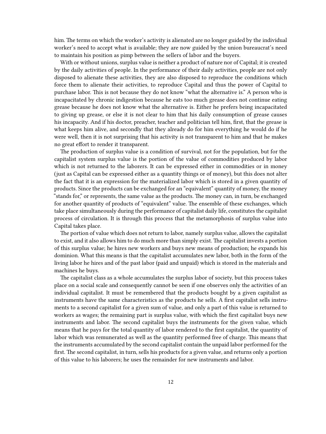him. The terms on which the worker's activity is alienated are no longer guided by the individual worker's need to accept what is available; they are now guided by the union bureaucrat's need to maintain his position as pimp between the sellers of labor and the buyers.

With or without unions, surplus value is neither a product of nature nor of Capital; it is created by the daily activities of people. In the performance of their daily activities, people are not only disposed to alienate these activities, they are also disposed to reproduce the conditions which force them to alienate their activities, to reproduce Capital and thus the power of Capital to purchase labor. This is not because they do not know "what the alternative is." A person who is incapacitated by chronic indigestion because he eats too much grease does not continue eating grease because he does not know what the alternative is. Either he prefers being incapacitated to giving up grease, or else it is not clear to him that his daily consumption of grease causes his incapacity. And if his doctor, preacher, teacher and politician tell him, first, that the grease is what keeps him alive, and secondly that they already do for him everything he would do if he were well, then it is not surprising that his activity is not transparent to him and that he makes no great effort to render it transparent.

The production of surplus value is a condition of survival, not for the population, but for the capitalist system surplus value is the portion of the value of commodities produced by labor which is not returned to the laborers. It can be expressed either in commodities or in money (just as Capital can be expressed either as a quantity things or of money), but this does not alter the fact that it is an expression for the materialized labor which is stored in a given quantity of products. Since the products can be exchanged for an "equivalent" quantity of money, the money "stands for," or represents, the same value as the products. The money can, in turn, be exchanged for another quantity of products of "equivalent" value. The ensemble of these exchanges, which take place simultaneously during the performance of capitalist daily life, constitutes the capitalist process of circulation. It is through this process that the metamorphosis of surplus value into Capital takes place.

The portion of value which does not return to labor, namely surplus value, allows the capitalist to exist, and it also allows him to do much more than simply exist. The capitalist invests a portion of this surplus value; he hires new workers and buys new means of production; he expands his dominion. What this means is that the capitalist accumulates new labor, both in the form of the living labor he hires and of the past labor (paid and unpaid) which is stored in the materials and machines he buys.

The capitalist class as a whole accumulates the surplus labor of society, but this process takes place on a social scale and consequently cannot be seen if one observes only the activities of an individual capitalist. It must be remembered that the products bought by a given capitalist as instruments have the same characteristics as the products he sells. A first capitalist sells instruments to a second capitalist for a given sum of value, and only a part of this value is returned to workers as wages; the remaining part is surplus value, with which the first capitalist buys new instruments and labor. The second capitalist buys the instruments for the given value, which means that he pays for the total quantity of labor rendered to the first capitalist, the quantity of labor which was remunerated as well as the quantity performed free of charge. This means that the instruments accumulated by the second capitalist contain the unpaid labor performed for the first. The second capitalist, in turn, sells his products for a given value, and returns only a portion of this value to his laborers; he uses the remainder for new instruments and labor.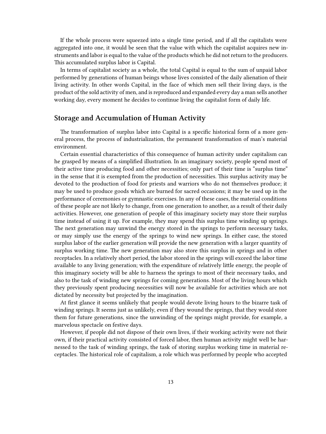If the whole process were squeezed into a single time period, and if all the capitalists were aggregated into one, it would be seen that the value with which the capitalist acquires new instruments and labor is equal to the value of the products which he did not return to the producers. This accumulated surplus labor is Capital.

In terms of capitalist society as a whole, the total Capital is equal to the sum of unpaid labor performed by generations of human beings whose lives consisted of the daily alienation of their living activity. In other words Capital, in the face of which men sell their living days, is the product of the sold activity of men, and is reproduced and expanded every day a man sells another working day, every moment he decides to continue living the capitalist form of daily life.

#### <span id="page-12-0"></span>**Storage and Accumulation of Human Activity**

The transformation of surplus labor into Capital is a specific historical form of a more general process, the process of industrialization, the permanent transformation of man's material environment.

Certain essential characteristics of this consequence of human activity under capitalism can he grasped by means of a simplified illustration. In an imaginary society, people spend most of their active time producing food and other necessities; only part of their time is "surplus time" in the sense that it is exempted from the production of necessities. This surplus activity may be devoted to the production of food for priests and warriors who do not themselves produce; it may be used to produce goods which are burned for sacred occasions; it may be used up in the performance of ceremonies or gymnastic exercises. In any of these cases, the material conditions of these people are not likely to change, from one generation to another, as a result of their daily activities. However, one generation of people of this imaginary society may store their surplus time instead of using it up. For example, they may spend this surplus time winding up springs. The next generation may unwind the energy stored in the springs to perform necessary tasks, or may simply use the energy of the springs to wind new springs. In either case, the stored surplus labor of the earlier generation will provide the new generation with a larger quantity of surplus working time. The new generation may also store this surplus in springs and in other receptacles. In a relatively short period, the labor stored in the springs will exceed the labor time available to any living generation; with the expenditure of relatively little energy, the people of this imaginary society will be able to harness the springs to most of their necessary tasks, and also to the task of winding new springs for coming generations. Most of the living hours which they previously spent producing necessities will now be available for activities which are not dictated by necessity but projected by the imagination.

At first glance it seems unlikely that people would devote living hours to the bizarre task of winding springs. It seems just as unlikely, even if they wound the springs, that they would store them for future generations, since the unwinding of the springs might provide, for example, a marvelous spectacle on festive days.

However, if people did not dispose of their own lives, if their working activity were not their own, if their practical activity consisted of forced labor, then human activity might well be harnessed to the task of winding springs, the task of storing surplus working time in material receptacles. The historical role of capitalism, a role which was performed by people who accepted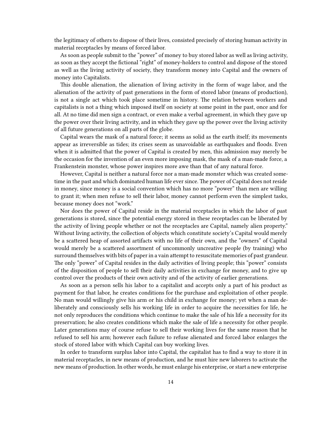the legitimacy of others to dispose of their lives, consisted precisely of storing human activity in material receptacles by means of forced labor.

As soon as people submit to the "power" of money to buy stored labor as well as living activity, as soon as they accept the fictional "right" of money-holders to control and dispose of the stored as well as the living activity of society, they transform money into Capital and the owners of money into Capitalists.

This double alienation, the alienation of living activity in the form of wage labor, and the alienation of the activity of past generations in the form of stored labor (means of production), is not a single act which took place sometime in history. The relation between workers and capitalists is not a thing which imposed itself on society at some point in the past, once and for all. At no time did men sign a contract, or even make a verbal agreement, in which they gave up the power over their living activity, and in which they gave up the power over the living activity of all future generations on all parts of the globe.

Capital wears the mask of a natural force; it seems as solid as the earth itself; its movements appear as irreversible as tides; its crises seem as unavoidable as earthquakes and floods. Even when it is admitted that the power of Capital is created by men, this admission may merely be the occasion for the invention of an even more imposing mask, the mask of a man-made force, a Frankenstein monster, whose power inspires more awe than that of any natural force.

However, Capital is neither a natural force nor a man-made monster which was created sometime in the past and which dominated human life ever since. The power of Capital does not reside in money, since money is a social convention which has no more "power" than men are willing to grant it; when men refuse to sell their labor, money cannot perform even the simplest tasks, because money does not "work."

Nor does the power of Capital reside in the material receptacles in which the labor of past generations is stored, since the potential energy stored in these receptacles can be liberated by the activity of living people whether or not the receptacles are Capital, namely alien property." Without living activity, the collection of objects which constitute society's Capital would merely be a scattered heap of assorted artifacts with no life of their own, and the "owners" of Capital would merely be a scattered assortment of uncommonly uncreative people (by training) who surround themselves with bits of paper in a vain attempt to resuscitate memories of past grandeur. The only "power" of Capital resides in the daily activities of living people; this "power" consists of the disposition of people to sell their daily activities in exchange for money, and to give up control over the products of their own activity and of the activity of earlier generations.

As soon as a person sells his labor to a capitalist and accepts only a part of his product as payment for that labor, he creates conditions for the purchase and exploitation of other people. No man would willingly give his arm or his child in exchange for money; yet when a man deliberately and consciously sells his working life in order to acquire the necessities for life, he not only reproduces the conditions which continue to make the sale of his life a necessity for its preservation; he also creates conditions which make the sale of life a necessity for other people. Later generations may of course refuse to sell their working lives for the same reason that he refused to sell his arm; however each failure to refuse alienated and forced labor enlarges the stock of stored labor with which Capital can buy working lives.

In order to transform surplus labor into Capital, the capitalist has to find a way to store it in material receptacles, in new means of production, and he must hire new laborers to activate the new means of production. In other words, he must enlarge his enterprise, or start a new enterprise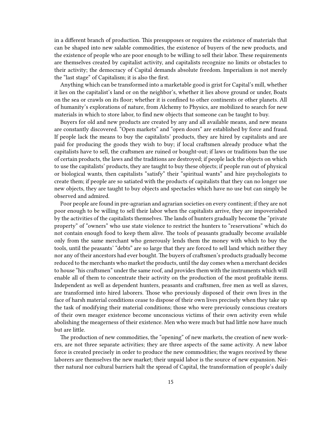in a different branch of production. This presupposes or requires the existence of materials that can be shaped into new salable commodities, the existence of buyers of the new products, and the existence of people who are poor enough to be willing to sell their labor. These requirements are themselves created by capitalist activity, and capitalists recognize no limits or obstacles to their activity; the democracy of Capital demands absolute freedom. Imperialism is not merely the "last stage" of Capitalism; it is also the first.

Anything which can be transformed into a marketable good is grist for Capital's mill, whether it lies on the capitalist's land or on the neighbor's, whether it lies above ground or under, Boats on the sea or crawls on its floor; whether it is confined to other continents or other planets. All of humanity's explorations of nature, from Alchemy to Physics, are mobilized to search for new materials in which to store labor, to find new objects that someone can be taught to buy.

Buyers for old and new products are created by any and all available means, and new means are constantly discovered. "Open markets" and "open doors" are established by force and fraud. If people lack the means to buy the capitalists' products, they are hired by capitalists and are paid for producing the goods they wish to buy; if local craftsmen already produce what the capitalists have to sell, the craftsmen are ruined or bought-out; if laws or traditions ban the use of certain products, the laws and the traditions are destroyed; if people lack the objects on which to use the capitalists' products, they are taught to buy these objects; if people run out of physical or biological wants, then capitalists "satisfy" their "spiritual wants" and hire psychologists to create them; if people are so satiated with the products of capitalists that they can no longer use new objects, they are taught to buy objects and spectacles which have no use but can simply be observed and admired.

Poor people are found in pre-agrarian and agrarian societies on every continent; if they are not poor enough to be willing to sell their labor when the capitalists arrive, they are impoverished by the activities of the capitalists themselves. The lands of hunters gradually become the "private property" of "owners" who use state violence to restrict the hunters to "reservations" which do not contain enough food to keep them alive. The tools of peasants gradually become available only from the same merchant who generously lends them the money with which to buy the tools, until the peasants' "debts" are so large that they are forced to sell land which neither they nor any of their ancestors had ever bought. The buyers of craftsmen's products gradually become reduced to the merchants who market the products, until the day comes when a merchant decides to house "his craftsmen" under the same roof, and provides them with the instruments which will enable all of them to concentrate their activity on the production of the most profitable items. Independent as well as dependent hunters, peasants and craftsmen, free men as well as slaves, are transformed into hired laborers. Those who previously disposed of their own lives in the face of harsh material conditions cease to dispose of their own lives precisely when they take up the task of modifying their material conditions; those who were previously conscious creators of their own meager existence become unconscious victims of their own activity even while abolishing the meagerness of their existence. Men who were much but had little now have much but are little.

The production of new commodities, the "opening" of new markets, the creation of new workers, are not three separate activities; they are three aspects of the same activity. A new labor force is created precisely in order to produce the new commodities; the wages received by these laborers are themselves the new market; their unpaid labor is the source of new expansion. Neither natural nor cultural barriers halt the spread of Capital, the transformation of people's daily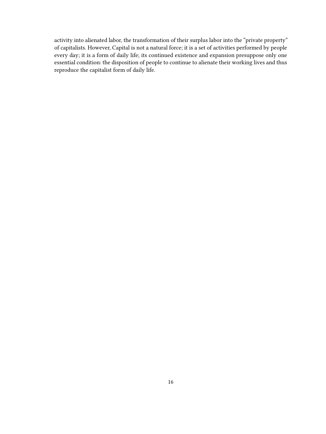activity into alienated labor, the transformation of their surplus labor into the "private property" of capitalists. However, Capital is not a natural force; it is a set of activities performed by people every day; it is a form of daily life; its continued existence and expansion presuppose only one essential condition: the disposition of people to continue to alienate their working lives and thus reproduce the capitalist form of daily life.